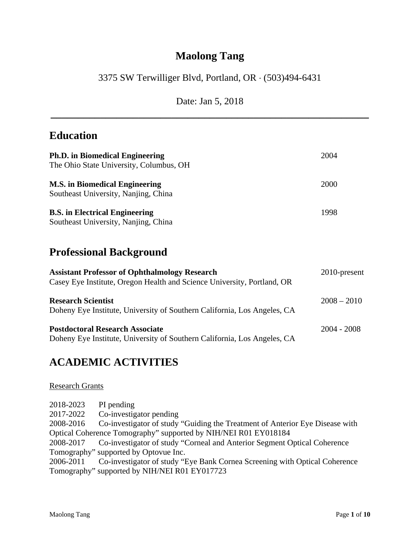# **Maolong Tang**

## 3375 SW Terwilliger Blvd, Portland, OR (503)494-6431

Date: Jan 5, 2018 **\_\_\_\_\_\_\_\_\_\_\_\_\_\_\_\_\_\_\_\_\_\_\_\_\_\_\_\_\_\_\_\_\_\_\_\_\_\_\_\_\_\_\_\_\_\_\_\_\_\_\_\_\_\_\_\_\_\_** 

### **Education**

| <b>Ph.D.</b> in Biomedical Engineering<br>The Ohio State University, Columbus, OH | 2004 |
|-----------------------------------------------------------------------------------|------|
| <b>M.S.</b> in Biomedical Engineering<br>Southeast University, Nanjing, China     | 2000 |
| <b>B.S.</b> in Electrical Engineering<br>Southeast University, Nanjing, China     | 1998 |

# **Professional Background**

| <b>Assistant Professor of Ophthalmology Research</b><br>Casey Eye Institute, Oregon Health and Science University, Portland, OR | $2010$ -present |
|---------------------------------------------------------------------------------------------------------------------------------|-----------------|
| <b>Research Scientist</b><br>Doheny Eye Institute, University of Southern California, Los Angeles, CA                           | $2008 - 2010$   |
| <b>Postdoctoral Research Associate</b><br>Doheny Eye Institute, University of Southern California, Los Angeles, CA              | $2004 - 2008$   |

# **ACADEMIC ACTIVITIES**

### Research Grants

| 2018-2023                                                       | PI pending                                                                         |  |
|-----------------------------------------------------------------|------------------------------------------------------------------------------------|--|
| 2017-2022                                                       | Co-investigator pending                                                            |  |
| 2008-2016                                                       | Co-investigator of study "Guiding the Treatment of Anterior Eye Disease with       |  |
| Optical Coherence Tomography" supported by NIH/NEI R01 EY018184 |                                                                                    |  |
|                                                                 | 2008-2017 Co-investigator of study "Corneal and Anterior Segment Optical Coherence |  |
|                                                                 | Tomography" supported by Optovue Inc.                                              |  |
| 2006-2011                                                       | Co-investigator of study "Eye Bank Cornea Screening with Optical Coherence"        |  |
|                                                                 | Tomography" supported by NIH/NEI R01 EY017723                                      |  |
|                                                                 |                                                                                    |  |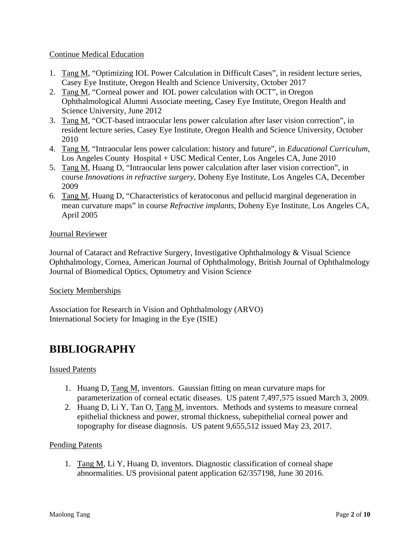### Continue Medical Education

- 1. Tang M, "Optimizing IOL Power Calculation in Difficult Cases", in resident lecture series, Casey Eye Institute, Oregon Health and Science University, October 2017
- 2. Tang M, "Corneal power and IOL power calculation with OCT", in Oregon Ophthalmological Alumni Associate meeting, Casey Eye Institute, Oregon Health and Science University, June 2012
- 3. Tang M, "OCT-based intraocular lens power calculation after laser vision correction", in resident lecture series, Casey Eye Institute, Oregon Health and Science University, October 2010
- 4. Tang M, "Intraocular lens power calculation: history and future", in *Educational Curriculum*, Los Angeles County Hospital + USC Medical Center, Los Angeles CA, June 2010
- 5. Tang M, Huang D, "Intraocular lens power calculation after laser vision correction", in course *Innovations in refractive surgery*, Doheny Eye Institute, Los Angeles CA, December 2009
- 6. Tang M, Huang D, "Characteristics of keratoconus and pellucid marginal degeneration in mean curvature maps" in course *Refractive implants*, Doheny Eye Institute, Los Angeles CA, April 2005

### Journal Reviewer

Journal of Cataract and Refractive Surgery, Investigative Ophthalmology & Visual Science Ophthalmology, Cornea, American Journal of Ophthalmology, British Journal of Ophthalmology Journal of Biomedical Optics, Optometry and Vision Science

### Society Memberships

Association for Research in Vision and Ophthalmology (ARVO) International Society for Imaging in the Eye (ISIE)

### **BIBLIOGRAPHY**

### Issued Patents

- 1. Huang D, Tang M, inventors. Gaussian fitting on mean curvature maps for parameterization of corneal ectatic diseases. US patent 7,497,575 issued March 3, 2009.
- 2. Huang D, Li Y, Tan O, Tang M, inventors. Methods and systems to measure corneal epithelial thickness and power, stromal thickness, subepithelial corneal power and topography for disease diagnosis. US patent 9,655,512 issued May 23, 2017.

### Pending Patents

1. Tang M, Li Y, Huang D, inventors. Diagnostic classification of corneal shape abnormalities. US provisional patent application 62/357198, June 30 2016.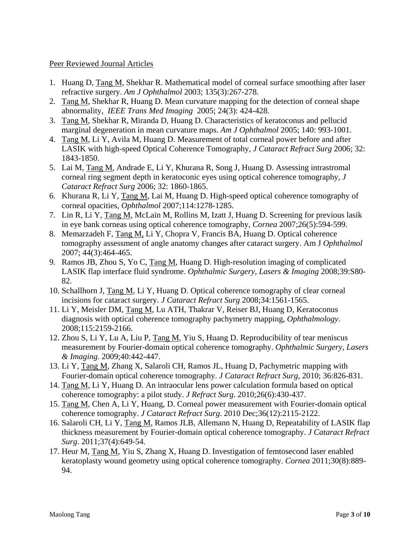### Peer Reviewed Journal Articles

- 1. Huang D, Tang M, Shekhar R. Mathematical model of corneal surface smoothing after laser refractive surgery. *Am J Ophthalmol* 2003; 135(3):267-278.
- 2. Tang M, Shekhar R, Huang D. Mean curvature mapping for the detection of corneal shape abnormality, *IEEE Trans Med Imaging* 2005; 24(3): 424-428.
- 3. Tang M, Shekhar R, Miranda D, Huang D. Characteristics of keratoconus and pellucid marginal degeneration in mean curvature maps. *Am J Ophthalmol* 2005; 140: 993-1001.
- 4. Tang M, Li Y, Avila M, Huang D. Measurement of total corneal power before and after LASIK with high-speed Optical Coherence Tomography, *J Cataract Refract Surg* 2006; 32: 1843-1850.
- 5. Lai M, Tang M, Andrade E, Li Y, Khurana R, Song J, Huang D. Assessing intrastromal corneal ring segment depth in keratoconic eyes using optical coherence tomography, *J Cataract Refract Surg* 2006; 32: 1860-1865.
- 6. Khurana R, Li Y, Tang M, Lai M, Huang D. High-speed optical coherence tomography of corneal opacities, *Ophthalmol* 2007;114:1278-1285.
- 7. Lin R, Li Y, Tang M, McLain M, Rollins M, Izatt J, Huang D. Screening for previous lasik in eye bank corneas using optical coherence tomography, *Cornea* 2007;26(5):594-599.
- 8. Memarzadeh F, Tang M, Li Y, Chopra V, Francis BA, Huang D. Optical coherence tomography assessment of angle anatomy changes after cataract surgery. Am J *Ophthalmol* 2007; 44(3):464-465.
- 9. Ramos JB, Zhou S, Yo C, Tang M, Huang D. High-resolution imaging of complicated LASIK flap interface fluid syndrome. *Ophthalmic Surgery, Lasers & Imaging* 2008;39:S80- 82.
- 10. Schallhorn J, Tang M, Li Y, Huang D. Optical coherence tomography of clear corneal incisions for cataract surgery. *J Cataract Refract Surg* 2008;34:1561-1565.
- 11. Li Y, Meisler DM, Tang M, Lu ATH, Thakrar V, Reiser BJ, Huang D, Keratoconus diagnosis with optical coherence tomography pachymetry mapping, *Ophthalmology*. 2008;115:2159-2166.
- 12. Zhou S, Li Y, Lu A, Liu P, Tang M, Yiu S, Huang D. Reproducibility of tear meniscus measurement by Fourier-domain optical coherence tomography. *Ophthalmic Surgery, Lasers & Imaging*. 2009;40:442-447.
- 13. Li Y, Tang M, Zhang X, Salaroli CH, Ramos JL, Huang D, Pachymetric mapping with Fourier-domain optical coherence tomography. *J Cataract Refract Surg*, 2010; 36:826-831.
- 14. Tang M, Li Y, Huang D. An intraocular lens power calculation formula based on optical coherence tomography: a pilot study. *J Refract Surg*. 2010;26(6):430-437.
- 15. Tang M, Chen A, Li Y, Huang, D. Corneal power measurement with Fourier-domain optical coherence tomography. *J Cataract Refract Surg*. 2010 Dec;36(12):2115-2122.
- 16. Salaroli CH, Li Y, Tang M, Ramos JLB, Allemann N, Huang D, Repeatability of LASIK flap thickness measurement by Fourier-domain optical coherence tomography. *J Cataract Refract Surg*. 2011;37(4):649-54.
- 17. Heur M, Tang M, Yiu S, Zhang X, Huang D. Investigation of femtosecond laser enabled keratoplasty wound geometry using optical coherence tomography. *Cornea* 2011;30(8):889- 94.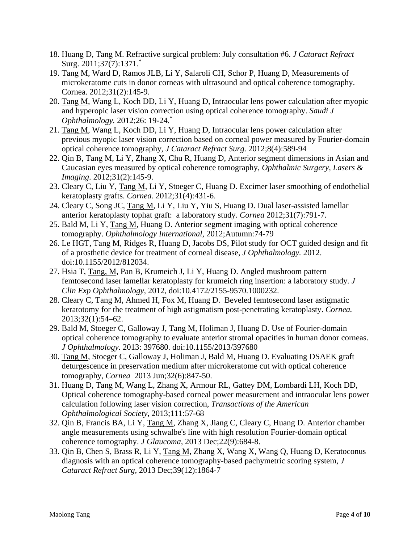- 18. Huang D, Tang M. Refractive surgical problem: July consultation #6. *J Cataract Refract*  Surg. 2011;37(7):1371.\*
- 19. Tang M, Ward D, Ramos JLB, Li Y, Salaroli CH, Schor P, Huang D, Measurements of microkeratome cuts in donor corneas with ultrasound and optical coherence tomography. Cornea. 2012;31(2):145-9.
- 20. Tang M, Wang L, Koch DD, Li Y, Huang D, Intraocular lens power calculation after myopic and hyperopic laser vision correction using optical coherence tomography. *Saudi J Ophthalmology.* 2012;26: 19-24.\*
- 21. Tang M, Wang L, Koch DD, Li Y, Huang D, Intraocular lens power calculation after previous myopic laser vision correction based on corneal power measured by Fourier-domain optical coherence tomography, *J Cataract Refract Surg*. 2012;8(4):589-94
- 22. Qin B, Tang M, Li Y, Zhang X, Chu R, Huang D, Anterior segment dimensions in Asian and Caucasian eyes measured by optical coherence tomography, *Ophthalmic Surgery, Lasers & Imaging*. 2012;31(2):145-9.
- 23. Cleary C, Liu Y, Tang M, Li Y, Stoeger C, Huang D. Excimer laser smoothing of endothelial keratoplasty grafts. *Cornea.* 2012;31(4):431-6.
- 24. Cleary C, Song JC, Tang M, Li Y, Liu Y, Yiu S, Huang D. Dual laser-assisted lamellar anterior keratoplasty tophat graft: a laboratory study. *Cornea* 2012;31(7):791-7.
- 25. Bald M, Li Y, Tang M, Huang D. Anterior segment imaging with optical coherence tomography. *Ophthalmology International*, 2012;Autumn:74-79
- 26. Le HGT, Tang M, Ridges R, Huang D, Jacobs DS, Pilot study for OCT guided design and fit of a prosthetic device for treatment of corneal disease, *J Ophthalmology.* 2012. doi:10.1155/2012/812034.
- 27. Hsia T, Tang, M, Pan B, Krumeich J, Li Y, Huang D. Angled mushroom pattern femtosecond laser lamellar keratoplasty for krumeich ring insertion: a laboratory study*. J Clin Exp Ophthalmology*, 2012, doi:10.4172/2155-9570.1000232.
- 28. Cleary C, Tang M, Ahmed H, Fox M, Huang D. Beveled femtosecond laser astigmatic keratotomy for the treatment of high astigmatism post-penetrating keratoplasty. *Cornea.*  2013;32(1):54–62.
- 29. Bald M, Stoeger C, Galloway J, Tang M, Holiman J, Huang D. Use of Fourier-domain optical coherence tomography to evaluate anterior stromal opacities in human donor corneas. *J Ophthalmology.* 2013: 397680. doi:10.1155/2013/397680
- 30. Tang M, Stoeger C, Galloway J, Holiman J, Bald M, Huang D. Evaluating DSAEK graft deturgescence in preservation medium after microkeratome cut with optical coherence tomography, *Cornea* 2013 Jun;32(6):847-50.
- 31. Huang D, Tang M, Wang L, Zhang X, Armour RL, Gattey DM, Lombardi LH, Koch DD, Optical coherence tomography-based corneal power measurement and intraocular lens power calculation following laser vision correction, *Transactions of the American Ophthalmological Society*, 2013;111:57-68
- 32. Qin B, Francis BA, Li Y, Tang M, Zhang X, Jiang C, Cleary C, Huang D. Anterior chamber angle measurements using schwalbe's line with high resolution Fourier-domain optical coherence tomography. *J Glaucoma*, 2013 Dec;22(9):684-8.
- 33. Qin B, Chen S, Brass R, Li Y, Tang M, Zhang X, Wang X, Wang Q, Huang D, Keratoconus diagnosis with an optical coherence tomography-based pachymetric scoring system, *J Cataract Refract Surg,* 2013 Dec;39(12):1864-7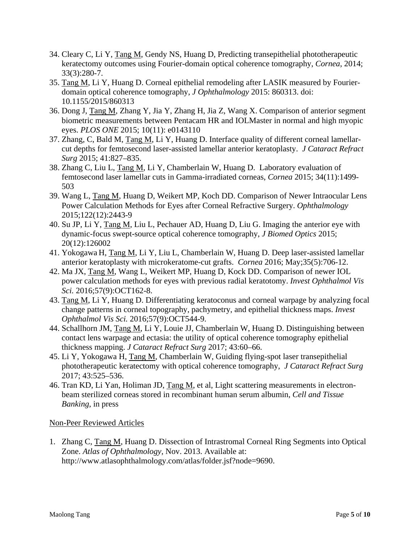- 34. Cleary C, Li Y, Tang M, Gendy NS, Huang D, Predicting transepithelial phototherapeutic keratectomy outcomes using Fourier-domain optical coherence tomography, *Cornea*, 2014; 33(3):280-7.
- 35. Tang M, Li Y, Huang D. Corneal epithelial remodeling after LASIK measured by Fourierdomain optical coherence tomography, *J Ophthalmology* 2015: 860313. doi: 10.1155/2015/860313
- 36. Dong J, Tang M, Zhang Y, Jia Y, Zhang H, Jia Z, Wang X. Comparison of anterior segment biometric measurements between Pentacam HR and IOLMaster in normal and high myopic eyes. *PLOS ONE* 2015; 10(11): e0143110
- 37. Zhang, C, Bald M, Tang M, Li Y, Huang D. Interface quality of different corneal lamellarcut depths for femtosecond laser-assisted lamellar anterior keratoplasty. *J Cataract Refract Surg* 2015; 41:827–835.
- 38. Zhang C, Liu L, Tang M, Li Y, Chamberlain W, Huang D. Laboratory evaluation of femtosecond laser lamellar cuts in Gamma-irradiated corneas, *Cornea* 2015; 34(11):1499- 503
- 39. Wang L, Tang M, Huang D, Weikert MP, Koch DD. Comparison of Newer Intraocular Lens Power Calculation Methods for Eyes after Corneal Refractive Surgery. *Ophthalmology* 2015;122(12):2443-9
- 40. Su JP, Li Y, Tang M, Liu L, Pechauer AD, Huang D, Liu G. Imaging the anterior eye with dynamic-focus swept-source optical coherence tomography, *J Biomed Optics* 2015; 20(12):126002
- 41. Yokogawa H, Tang M, Li Y, Liu L, Chamberlain W, Huang D. Deep laser-assisted lamellar anterior keratoplasty with microkeratome-cut grafts. *Cornea* 2016; May;35(5):706-12.
- 42. Ma JX, Tang M, Wang L, Weikert MP, Huang D, Kock DD. Comparison of newer IOL power calculation methods for eyes with previous radial keratotomy. *Invest Ophthalmol Vis Sci.* 2016;57(9):OCT162-8.
- 43. Tang M, Li Y, Huang D. Differentiating keratoconus and corneal warpage by analyzing focal change patterns in corneal topography, pachymetry, and epithelial thickness maps. *Invest Ophthalmol Vis Sci.* 2016;57(9):OCT544-9.
- 44. Schallhorn JM, Tang M, Li Y, Louie JJ, Chamberlain W, Huang D. Distinguishing between contact lens warpage and ectasia: the utility of optical coherence tomography epithelial thickness mapping. *J Cataract Refract Surg* 2017; 43:60–66.
- 45. Li Y, Yokogawa H, Tang M, Chamberlain W, Guiding flying-spot laser transepithelial phototherapeutic keratectomy with optical coherence tomography, *J Cataract Refract Surg*  2017; 43:525–536.
- 46. Tran KD, Li Yan, Holiman JD, Tang M, et al, Light scattering measurements in electronbeam sterilized corneas stored in recombinant human serum albumin, *Cell and Tissue Banking*, in press

### Non-Peer Reviewed Articles

1. Zhang C, Tang M, Huang D. Dissection of Intrastromal Corneal Ring Segments into Optical Zone. *Atlas of Ophthalmology,* Nov. 2013. Available at: http://www.atlasophthalmology.com/atlas/folder.jsf?node=9690.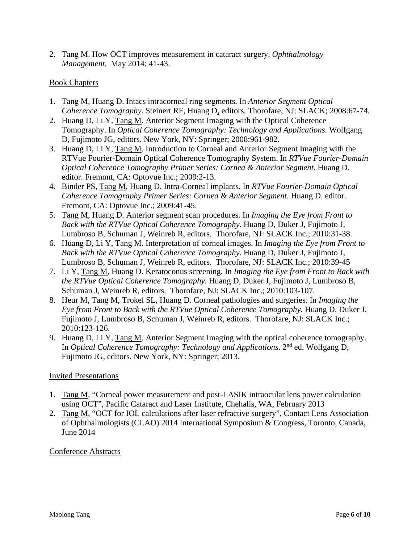2. Tang M. How OCT improves measurement in cataract surgery. *Ophthalmology Management.* May 2014: 41-43.

### Book Chapters

- 1. Tang M, Huang D. Intacs intracorneal ring segments. In *Anterior Segment Optical Coherence Tomography*. Steinert RF, Huang D, editors. Thorofare, NJ: SLACK; 2008:67-74.
- 2. Huang D, Li Y, Tang M. Anterior Segment Imaging with the Optical Coherence Tomography. In *Optical Coherence Tomography: Technology and Applications*. Wolfgang D, Fujimoto JG, editors. New York, NY: Springer; 2008:961-982.
- 3. Huang D, Li Y, Tang M. Introduction to Corneal and Anterior Segment Imaging with the RTVue Fourier-Domain Optical Coherence Tomography System. In *RTVue Fourier-Domain Optical Coherence Tomography Primer Series: Cornea & Anterior Segment*. Huang D. editor. Fremont, CA: Optovue Inc.; 2009:2-13.
- 4. Binder PS, Tang M, Huang D. Intra-Corneal implants. In *RTVue Fourier-Domain Optical Coherence Tomography Primer Series: Cornea & Anterior Segment*. Huang D. editor. Fremont, CA: Optovue Inc.; 2009:41-45.
- 5. Tang M, Huang D. Anterior segment scan procedures. In *Imaging the Eye from Front to Back with the RTVue Optical Coherence Tomography.* Huang D, Duker J, Fujimoto J, Lumbroso B, Schuman J, Weinreb R, editors. Thorofare, NJ: SLACK Inc.; 2010:31-38.
- 6. Huang D, Li Y, Tang M. Interpretation of corneal images. In *Imaging the Eye from Front to Back with the RTVue Optical Coherence Tomography.* Huang D, Duker J, Fujimoto J, Lumbroso B, Schuman J, Weinreb R, editors. Thorofare, NJ: SLACK Inc.; 2010:39-45
- 7. Li Y, Tang M, Huang D. Keratoconus screening. In *Imaging the Eye from Front to Back with the RTVue Optical Coherence Tomography.* Huang D, Duker J, Fujimoto J, Lumbroso B, Schuman J, Weinreb R, editors. Thorofare, NJ: SLACK Inc.; 2010:103-107.
- 8. Heur M, Tang M, Trokel SL, Huang D. Corneal pathologies and surgeries. In *Imaging the Eye from Front to Back with the RTVue Optical Coherence Tomography.* Huang D, Duker J, Fujimoto J, Lumbroso B, Schuman J, Weinreb R, editors. Thorofare, NJ: SLACK Inc.; 2010:123-126.
- 9. Huang D, Li Y, Tang M. Anterior Segment Imaging with the optical coherence tomography. In *Optical Coherence Tomography: Technology and Applications*. 2nd ed. Wolfgang D, Fujimoto JG, editors. New York, NY: Springer; 2013.

### Invited Presentations

- 1. Tang M, "Corneal power measurement and post-LASIK intraocular lens power calculation using OCT", Pacific Cataract and Laser Institute, Chehalis, WA, February 2013
- 2. Tang M, "OCT for IOL calculations after laser refractive surgery", Contact Lens Association of Ophthalmologists (CLAO) 2014 International Symposium & Congress, Toronto, Canada, June 2014

### Conference Abstracts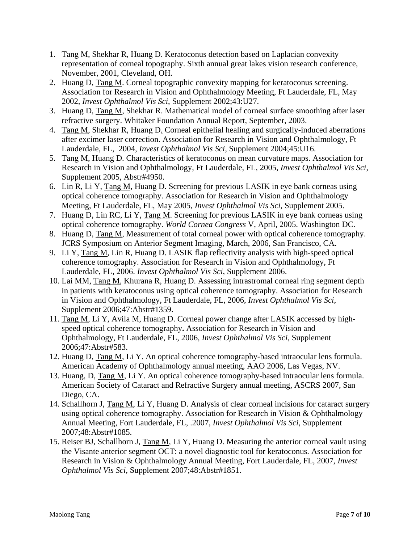- 1. Tang M, Shekhar R, Huang D. Keratoconus detection based on Laplacian convexity representation of corneal topography. Sixth annual great lakes vision research conference, November, 2001, Cleveland, OH.
- 2. Huang D, Tang M. Corneal topographic convexity mapping for keratoconus screening. Association for Research in Vision and Ophthalmology Meeting, Ft Lauderdale, FL, May 2002, *Invest Ophthalmol Vis Sci*, Supplement 2002;43:U27.
- 3. Huang D, Tang M, Shekhar R. Mathematical model of corneal surface smoothing after laser refractive surgery. Whitaker Foundation Annual Report, September, 2003.
- 4. Tang M, Shekhar R, Huang D. Corneal epithelial healing and surgically-induced aberrations after excimer laser correction. Association for Research in Vision and Ophthalmology, Ft Lauderdale, FL, 2004, *Invest Ophthalmol Vis Sci*, Supplement 2004;45:U16.
- 5. Tang M, Huang D. Characteristics of keratoconus on mean curvature maps. Association for Research in Vision and Ophthalmology, Ft Lauderdale, FL, 2005, *Invest Ophthalmol Vis Sci*, Supplement 2005, Abstr#4950.
- 6. Lin R, Li Y, Tang M, Huang D. Screening for previous LASIK in eye bank corneas using optical coherence tomography. Association for Research in Vision and Ophthalmology Meeting, Ft Lauderdale, FL, May 2005, *Invest Ophthalmol Vis Sci*, Supplement 2005.
- 7. Huang D, Lin RC, Li Y, Tang M. Screening for previous LASIK in eye bank corneas using optical coherence tomography. *World Cornea Congress* V, April, 2005. Washington DC.
- 8. Huang D, Tang M, Measurement of total corneal power with optical coherence tomography. JCRS Symposium on Anterior Segment Imaging, March, 2006, San Francisco, CA.
- 9. Li Y, Tang M, Lin R, Huang D. LASIK flap reflectivity analysis with high-speed optical coherence tomography. Association for Research in Vision and Ophthalmology, Ft Lauderdale, FL, 2006. *Invest Ophthalmol Vis Sci*, Supplement 2006.
- 10. Lai MM, Tang M, Khurana R, Huang D. Assessing intrastromal corneal ring segment depth in patients with keratoconus using optical coherence tomography. Association for Research in Vision and Ophthalmology, Ft Lauderdale, FL, 2006, *Invest Ophthalmol Vis Sci*, Supplement 2006;47:Abstr#1359.
- 11. Tang M, Li Y, Avila M, Huang D. Corneal power change after LASIK accessed by highspeed optical coherence tomography**.** Association for Research in Vision and Ophthalmology, Ft Lauderdale, FL, 2006, *Invest Ophthalmol Vis Sci*, Supplement 2006;47:Abstr#583.
- 12. Huang D, Tang M, Li Y. An optical coherence tomography-based intraocular lens formula. American Academy of Ophthalmology annual meeting, AAO 2006, Las Vegas, NV.
- 13. Huang, D, Tang M, Li Y. An optical coherence tomography-based intraocular lens formula. American Society of Cataract and Refractive Surgery annual meeting, ASCRS 2007, San Diego, CA.
- 14. Schallhorn J, Tang M, Li Y, Huang D. Analysis of clear corneal incisions for cataract surgery using optical coherence tomography. Association for Research in Vision & Ophthalmology Annual Meeting, Fort Lauderdale, FL, .2007, *Invest Ophthalmol Vis Sci*, Supplement 2007;48:Abstr#1085.
- 15. Reiser BJ, Schallhorn J, Tang M, Li Y, Huang D. Measuring the anterior corneal vault using the Visante anterior segment OCT: a novel diagnostic tool for keratoconus. Association for Research in Vision & Ophthalmology Annual Meeting, Fort Lauderdale, FL, 2007, *Invest Ophthalmol Vis Sci*, Supplement 2007;48:Abstr#1851.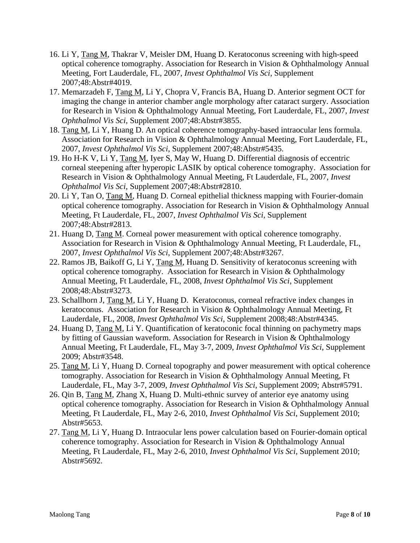- 16. Li Y, Tang M, Thakrar V, Meisler DM, Huang D. Keratoconus screening with high-speed optical coherence tomography. Association for Research in Vision & Ophthalmology Annual Meeting, Fort Lauderdale, FL, 2007, *Invest Ophthalmol Vis Sci*, Supplement 2007;48:Abstr#4019.
- 17. Memarzadeh F, Tang M, Li Y, Chopra V, Francis BA, Huang D. Anterior segment OCT for imaging the change in anterior chamber angle morphology after cataract surgery. Association for Research in Vision & Ophthalmology Annual Meeting, Fort Lauderdale, FL, 2007, *Invest Ophthalmol Vis Sci*, Supplement 2007;48:Abstr#3855.
- 18. Tang M, Li Y, Huang D. An optical coherence tomography-based intraocular lens formula. Association for Research in Vision & Ophthalmology Annual Meeting, Fort Lauderdale, FL, 2007, *Invest Ophthalmol Vis Sci*, Supplement 2007;48:Abstr#5435.
- 19. Ho H-K V, Li Y, Tang M, Iyer S, May W, Huang D. Differential diagnosis of eccentric corneal steepening after hyperopic LASIK by optical coherence tomography. Association for Research in Vision & Ophthalmology Annual Meeting, Ft Lauderdale, FL, 2007, *Invest Ophthalmol Vis Sci*, Supplement 2007;48:Abstr#2810.
- 20. Li Y, Tan O, Tang M, Huang D. Corneal epithelial thickness mapping with Fourier-domain optical coherence tomography. Association for Research in Vision & Ophthalmology Annual Meeting, Ft Lauderdale, FL, 2007, *Invest Ophthalmol Vis Sci*, Supplement 2007;48:Abstr#2813.
- 21. Huang D, Tang M. Corneal power measurement with optical coherence tomography. Association for Research in Vision & Ophthalmology Annual Meeting, Ft Lauderdale, FL, 2007, *Invest Ophthalmol Vis Sci*, Supplement 2007;48:Abstr#3267.
- 22. Ramos JB, Baikoff G, Li Y, Tang M, Huang D. Sensitivity of keratoconus screening with optical coherence tomography. Association for Research in Vision & Ophthalmology Annual Meeting, Ft Lauderdale, FL, 2008, *Invest Ophthalmol Vis Sci*, Supplement 2008;48:Abstr#3273.
- 23. Schallhorn J, Tang M, Li Y, Huang D. Keratoconus, corneal refractive index changes in keratoconus. Association for Research in Vision & Ophthalmology Annual Meeting, Ft Lauderdale, FL, 2008, *Invest Ophthalmol Vis Sci*, Supplement 2008;48:Abstr#4345.
- 24. Huang D, Tang M, Li Y. Quantification of keratoconic focal thinning on pachymetry maps by fitting of Gaussian waveform. Association for Research in Vision & Ophthalmology Annual Meeting, Ft Lauderdale, FL, May 3-7, 2009, *Invest Ophthalmol Vis Sci*, Supplement 2009; Abstr#3548.
- 25. Tang M, Li Y, Huang D. Corneal topography and power measurement with optical coherence tomography. Association for Research in Vision & Ophthalmology Annual Meeting, Ft Lauderdale, FL, May 3-7, 2009, *Invest Ophthalmol Vis Sci*, Supplement 2009; Abstr#5791.
- 26. Qin B, Tang M, Zhang X, Huang D. Multi-ethnic survey of anterior eye anatomy using optical coherence tomography. Association for Research in Vision & Ophthalmology Annual Meeting, Ft Lauderdale, FL, May 2-6, 2010, *Invest Ophthalmol Vis Sci*, Supplement 2010; Abstr#5653.
- 27. Tang M, Li Y, Huang D. Intraocular lens power calculation based on Fourier-domain optical coherence tomography. Association for Research in Vision & Ophthalmology Annual Meeting, Ft Lauderdale, FL, May 2-6, 2010, *Invest Ophthalmol Vis Sci,* Supplement 2010; Abstr#5692.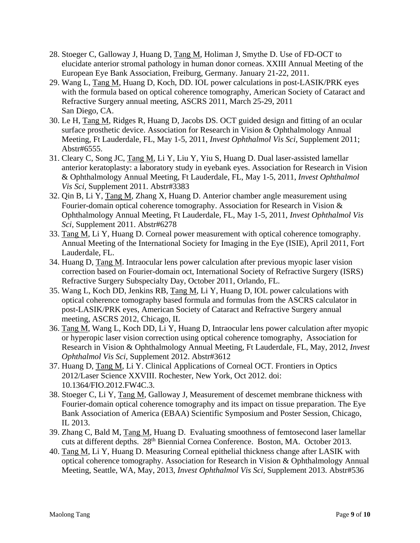- 28. Stoeger C, Galloway J, Huang D, Tang M, Holiman J, Smythe D. Use of FD-OCT to elucidate anterior stromal pathology in human donor corneas. XXIII Annual Meeting of the European Eye Bank Association, Freiburg, Germany. January 21-22, 2011.
- 29. Wang L, Tang M, Huang D, Koch, DD. IOL power calculations in post-LASIK/PRK eyes with the formula based on optical coherence tomography, American Society of Cataract and Refractive Surgery annual meeting, ASCRS 2011, March 25-29, 2011 San Diego, CA.
- 30. Le H, Tang M, Ridges R, Huang D, Jacobs DS. OCT guided design and fitting of an ocular surface prosthetic device. Association for Research in Vision & Ophthalmology Annual Meeting, Ft Lauderdale, FL, May 1-5, 2011, *Invest Ophthalmol Vis Sci,* Supplement 2011; Abstr#6555.
- 31. Cleary C, Song JC, Tang M, Li Y, Liu Y, Yiu S, Huang D. Dual laser-assisted lamellar anterior keratoplasty: a laboratory study in eyebank eyes. Association for Research in Vision & Ophthalmology Annual Meeting, Ft Lauderdale, FL, May 1-5, 2011, *Invest Ophthalmol Vis Sci,* Supplement 2011. Abstr#3383
- 32. Qin B, Li Y, Tang M, Zhang X, Huang D. Anterior chamber angle measurement using Fourier-domain optical coherence tomography. Association for Research in Vision & Ophthalmology Annual Meeting, Ft Lauderdale, FL, May 1-5, 2011, *Invest Ophthalmol Vis Sci,* Supplement 2011. Abstr#6278
- 33. Tang M, Li Y, Huang D. Corneal power measurement with optical coherence tomography. Annual Meeting of the International Society for Imaging in the Eye (ISIE), April 2011, Fort Lauderdale, FL.
- 34. Huang D, Tang M. Intraocular lens power calculation after previous myopic laser vision correction based on Fourier-domain oct, International Society of Refractive Surgery (ISRS) Refractive Surgery Subspecialty Day, October 2011, Orlando, FL.
- 35. Wang L, Koch DD, Jenkins RB, Tang M, Li Y, Huang D, IOL power calculations with optical coherence tomography based formula and formulas from the ASCRS calculator in post-LASIK/PRK eyes, American Society of Cataract and Refractive Surgery annual meeting, ASCRS 2012, Chicago, IL
- 36. Tang M, Wang L, Koch DD, Li Y, Huang D, Intraocular lens power calculation after myopic or hyperopic laser vision correction using optical coherence tomography, Association for Research in Vision & Ophthalmology Annual Meeting, Ft Lauderdale, FL, May, 2012, *Invest Ophthalmol Vis Sci,* Supplement 2012. Abstr#3612
- 37. Huang D, Tang M, Li Y. Clinical Applications of Corneal OCT. Frontiers in Optics 2012/Laser Science XXVIII. Rochester, New York, Oct 2012. doi: 10.1364/FIO.2012.FW4C.3.
- 38. Stoeger C, Li Y, Tang M, Galloway J, Measurement of descemet membrane thickness with Fourier-domain optical coherence tomography and its impact on tissue preparation. The Eye Bank Association of America (EBAA) Scientific Symposium and Poster Session, Chicago, IL 2013.
- 39. Zhang C, Bald M, Tang M, Huang D. Evaluating smoothness of femtosecond laser lamellar cuts at different depths. 28th Biennial Cornea Conference. Boston, MA. October 2013.
- 40. Tang M, Li Y, Huang D. Measuring Corneal epithelial thickness change after LASIK with optical coherence tomography. Association for Research in Vision & Ophthalmology Annual Meeting, Seattle, WA, May, 2013, *Invest Ophthalmol Vis Sci,* Supplement 2013. Abstr#536